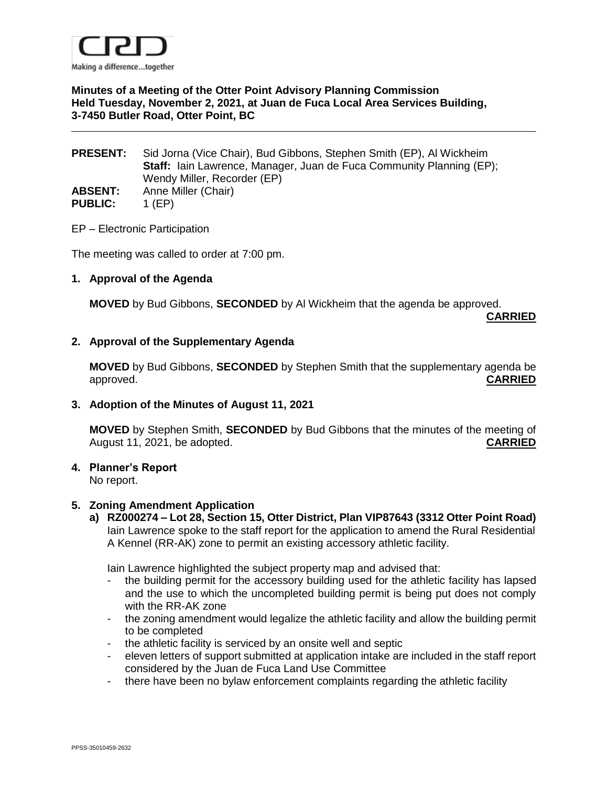

## **Minutes of a Meeting of the Otter Point Advisory Planning Commission Held Tuesday, November 2, 2021, at Juan de Fuca Local Area Services Building, 3-7450 Butler Road, Otter Point, BC**

## **PRESENT:** Sid Jorna (Vice Chair), Bud Gibbons, Stephen Smith (EP), Al Wickheim **Staff:** Iain Lawrence, Manager, Juan de Fuca Community Planning (EP); Wendy Miller, Recorder (EP) **ABSENT:** Anne Miller (Chair) **PUBLIC:** 1 (EP)

EP – Electronic Participation

The meeting was called to order at 7:00 pm.

### **1. Approval of the Agenda**

**MOVED** by Bud Gibbons, **SECONDED** by Al Wickheim that the agenda be approved.

**CARRIED**

#### **2. Approval of the Supplementary Agenda**

**MOVED** by Bud Gibbons, **SECONDED** by Stephen Smith that the supplementary agenda be approved. **CARRIED**

### **3. Adoption of the Minutes of August 11, 2021**

**MOVED** by Stephen Smith, **SECONDED** by Bud Gibbons that the minutes of the meeting of August 11, 2021, be adopted. **CARRIED**

## **4. Planner's Report**

No report.

#### **5. Zoning Amendment Application**

**a) RZ000274 – Lot 28, Section 15, Otter District, Plan VIP87643 (3312 Otter Point Road)** Iain Lawrence spoke to the staff report for the application to amend the Rural Residential A Kennel (RR-AK) zone to permit an existing accessory athletic facility.

Iain Lawrence highlighted the subject property map and advised that:

- the building permit for the accessory building used for the athletic facility has lapsed and the use to which the uncompleted building permit is being put does not comply with the RR-AK zone
- the zoning amendment would legalize the athletic facility and allow the building permit to be completed
- the athletic facility is serviced by an onsite well and septic
- eleven letters of support submitted at application intake are included in the staff report considered by the Juan de Fuca Land Use Committee
- there have been no bylaw enforcement complaints regarding the athletic facility